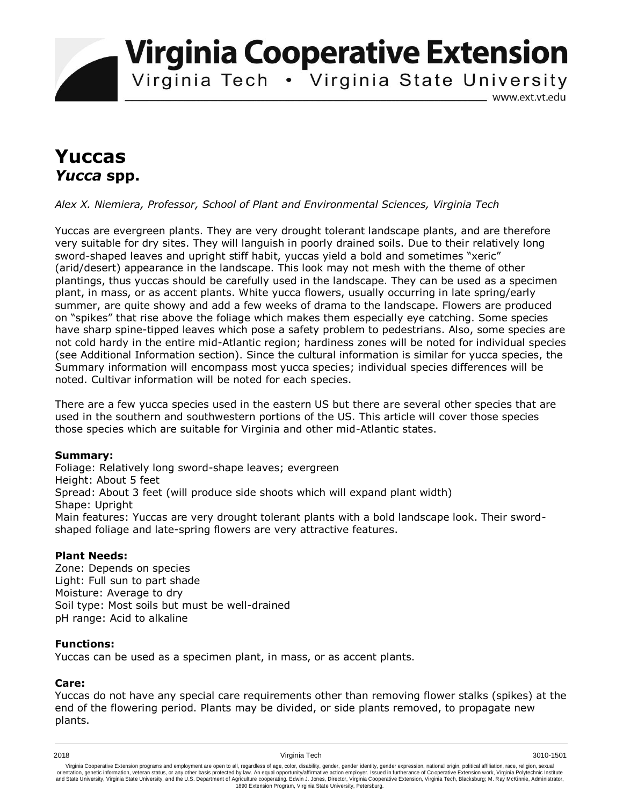**Virginia Cooperative Extension** 

Virginia Tech . Virginia State University

www.ext.vt.edu

# **Yuccas**  *Yucca* **spp.**

*Alex X. Niemiera, Professor, School of Plant and Environmental Sciences, Virginia Tech*

Yuccas are evergreen plants. They are very drought tolerant landscape plants, and are therefore very suitable for dry sites. They will languish in poorly drained soils. Due to their relatively long sword-shaped leaves and upright stiff habit, yuccas yield a bold and sometimes "xeric" (arid/desert) appearance in the landscape. This look may not mesh with the theme of other plantings, thus yuccas should be carefully used in the landscape. They can be used as a specimen plant, in mass, or as accent plants. White yucca flowers, usually occurring in late spring/early summer, are quite showy and add a few weeks of drama to the landscape. Flowers are produced on "spikes" that rise above the foliage which makes them especially eye catching. Some species have sharp spine-tipped leaves which pose a safety problem to pedestrians. Also, some species are not cold hardy in the entire mid-Atlantic region; hardiness zones will be noted for individual species (see Additional Information section). Since the cultural information is similar for yucca species, the Summary information will encompass most yucca species; individual species differences will be noted. Cultivar information will be noted for each species.

There are a few yucca species used in the eastern US but there are several other species that are used in the southern and southwestern portions of the US. This article will cover those species those species which are suitable for Virginia and other mid-Atlantic states.

### **Summary:**

Foliage: Relatively long sword-shape leaves; evergreen Height: About 5 feet Spread: About 3 feet (will produce side shoots which will expand plant width) Shape: Upright Main features: Yuccas are very drought tolerant plants with a bold landscape look. Their swordshaped foliage and late-spring flowers are very attractive features.

### **Plant Needs:**

Zone: Depends on species Light: Full sun to part shade Moisture: Average to dry Soil type: Most soils but must be well-drained pH range: Acid to alkaline

### **Functions:**

Yuccas can be used as a specimen plant, in mass, or as accent plants.

### **Care:**

Yuccas do not have any special care requirements other than removing flower stalks (spikes) at the end of the flowering period. Plants may be divided, or side plants removed, to propagate new plants.